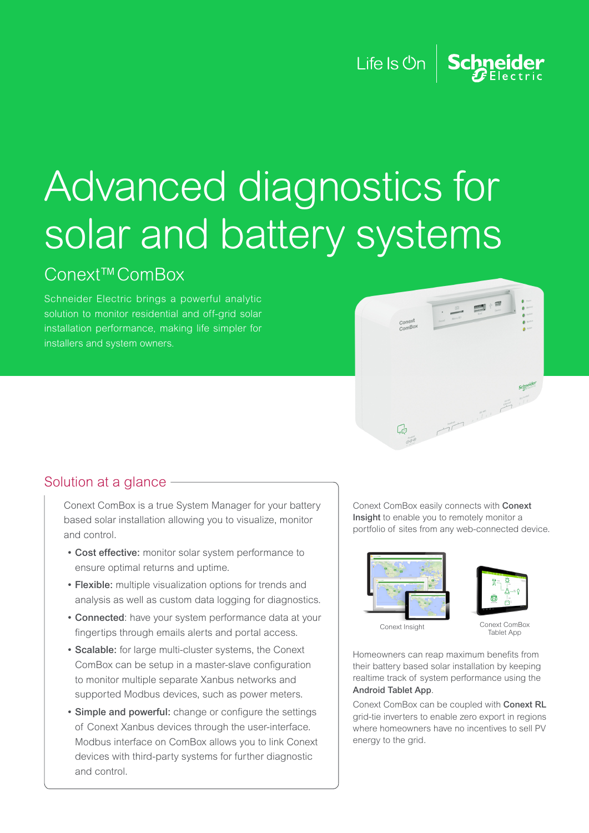#### Life Is  $\mathsf{On} \left| \right|$ Schneider

# Advanced diagnostics for solar and battery systems

### Conext™ComBox

Schneider Electric brings a powerful analytic solution to monitor residential and off-grid solar installation performance, making life simpler for installers and system owners.



#### Solution at a glance -

Conext ComBox is a true System Manager for your battery based solar installation allowing you to visualize, monitor and control.

- Cost effective: monitor solar system performance to ensure optimal returns and uptime.
- Flexible: multiple visualization options for trends and analysis as well as custom data logging for diagnostics.
- Connected: have your system performance data at your fingertips through emails alerts and portal access.
- Scalable: for large multi-cluster systems, the Conext ComBox can be setup in a master-slave configuration to monitor multiple separate Xanbus networks and supported Modbus devices, such as power meters.
- Simple and powerful: change or configure the settings of Conext Xanbus devices through the user-interface. Modbus interface on ComBox allows you to link Conext devices with third-party systems for further diagnostic and control.

Conext ComBox easily connects with Conext Insight to enable you to remotely monitor a portfolio of sites from any web-connected device.





Conext Insight

Conext ComBox Tablet App

Homeowners can reap maximum benefits from their battery based solar installation by keeping realtime track of system performance using the Android Tablet App.

Conext ComBox can be coupled with Conext RL grid-tie inverters to enable zero export in regions where homeowners have no incentives to sell PV energy to the grid.